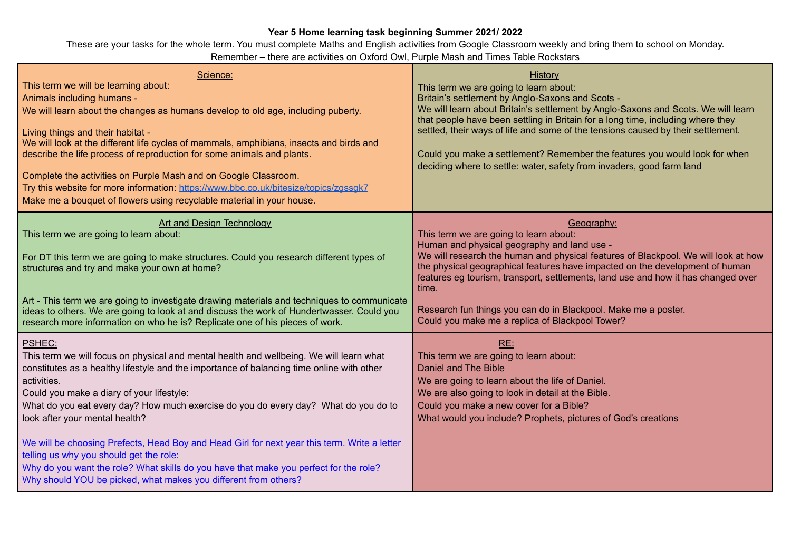## **Year 5 Home learning task beginning Summer 2021/ 2022**

These are your tasks for the whole term. You must complete Maths and English activities from Google Classroom weekly and bring them to school on Monday. Remember – there are activities on Oxford Owl, Purple Mash and Times Table Rockstars

| Science:<br>This term we will be learning about:<br>Animals including humans -<br>We will learn about the changes as humans develop to old age, including puberty.<br>Living things and their habitat -<br>We will look at the different life cycles of mammals, amphibians, insects and birds and<br>describe the life process of reproduction for some animals and plants.<br>Complete the activities on Purple Mash and on Google Classroom.<br>Try this website for more information: https://www.bbc.co.uk/bitesize/topics/zgssqk7<br>Make me a bouquet of flowers using recyclable material in your house.                                                                           | History<br>This term we are going to learn about:<br>Britain's settlement by Anglo-Saxons and Scots -<br>We will learn about Britain's settlement by Anglo-Saxons and Scots. We will learn<br>that people have been settling in Britain for a long time, including where they<br>settled, their ways of life and some of the tensions caused by their settlement.<br>Could you make a settlement? Remember the features you would look for when<br>deciding where to settle: water, safety from invaders, good farm land |
|--------------------------------------------------------------------------------------------------------------------------------------------------------------------------------------------------------------------------------------------------------------------------------------------------------------------------------------------------------------------------------------------------------------------------------------------------------------------------------------------------------------------------------------------------------------------------------------------------------------------------------------------------------------------------------------------|--------------------------------------------------------------------------------------------------------------------------------------------------------------------------------------------------------------------------------------------------------------------------------------------------------------------------------------------------------------------------------------------------------------------------------------------------------------------------------------------------------------------------|
| <b>Art and Design Technology</b><br>This term we are going to learn about:<br>For DT this term we are going to make structures. Could you research different types of<br>structures and try and make your own at home?<br>Art - This term we are going to investigate drawing materials and techniques to communicate<br>ideas to others. We are going to look at and discuss the work of Hundertwasser. Could you<br>research more information on who he is? Replicate one of his pieces of work.                                                                                                                                                                                         | Geography:<br>This term we are going to learn about:<br>Human and physical geography and land use -<br>We will research the human and physical features of Blackpool. We will look at how<br>the physical geographical features have impacted on the development of human<br>features eg tourism, transport, settlements, land use and how it has changed over<br>time.<br>Research fun things you can do in Blackpool. Make me a poster.<br>Could you make me a replica of Blackpool Tower?                             |
| PSHEC:<br>This term we will focus on physical and mental health and wellbeing. We will learn what<br>constitutes as a healthy lifestyle and the importance of balancing time online with other<br>activities.<br>Could you make a diary of your lifestyle:<br>What do you eat every day? How much exercise do you do every day? What do you do to<br>look after your mental health?<br>We will be choosing Prefects, Head Boy and Head Girl for next year this term. Write a letter<br>telling us why you should get the role:<br>Why do you want the role? What skills do you have that make you perfect for the role?<br>Why should YOU be picked, what makes you different from others? | RE:<br>This term we are going to learn about:<br>Daniel and The Bible<br>We are going to learn about the life of Daniel.<br>We are also going to look in detail at the Bible.<br>Could you make a new cover for a Bible?<br>What would you include? Prophets, pictures of God's creations                                                                                                                                                                                                                                |